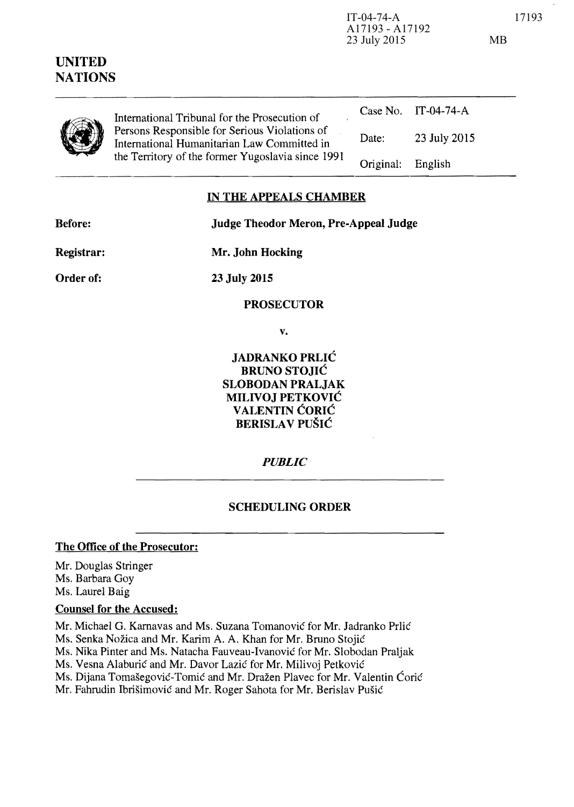| UNITED<br><b>NATIONS</b> |                                                                                                                                                                                                    | 23 July 2015 |                     | MB |
|--------------------------|----------------------------------------------------------------------------------------------------------------------------------------------------------------------------------------------------|--------------|---------------------|----|
|                          | International Tribunal for the Prosecution of<br>Persons Responsible for Serious Violations of<br>International Humanitarian Law Committed in<br>the Territory of the former Yugoslavia since 1991 |              | Case No. IT-04-74-A |    |
|                          |                                                                                                                                                                                                    | Date:        | 23 July 2015        |    |
|                          |                                                                                                                                                                                                    | Original:    | English             |    |
|                          |                                                                                                                                                                                                    |              |                     |    |

A17193 - A17192

## **IN THE APPEALS CHAMBER**

**Before: Judge Theodor Meron, Pre-Appeal Judge** 

**Registrar:** 

**Mr. John Hocking** 

**Order of:** 

**23 July 2015** 

**PROSECUTOR** 

**v.** 

**JADRANKO PRLIC BRUNO STOJIC SLOBODAN PRALJAK MILIVOJ PETKOVIC VALENTIN CORIC BERISLAV PUŠIĆ** 

*PUBLIC* 

## **SCHEDULING ORDER**

## **The Office of the Prosecutor:**

Mr. Douglas Stringer Ms. Barbara Goy Ms. Laurel Baig

## **Counsel for the Accused:**

Mr. Michael G. Karnavas and Ms. Suzana Tomanović for Mr. Jadranko Prlić Ms. Senka Nozica and Mr. Karim A. A. Khan for Mr. Bruno Stojie Ms. Nika Pinter and Ms. Natacha Fauveau-Ivanovie for Mr. Slobodan Praljak Ms. Vesna Alaburić and Mr. Davor Lazić for Mr. Milivoj Petković Ms. Dijana Tomašegović-Tomić and Mr. Dražen Plavec for Mr. Valentin Ćorić Mr. Fahrudin Ibrišimović and Mr. Roger Sahota for Mr. Berislav Pušić